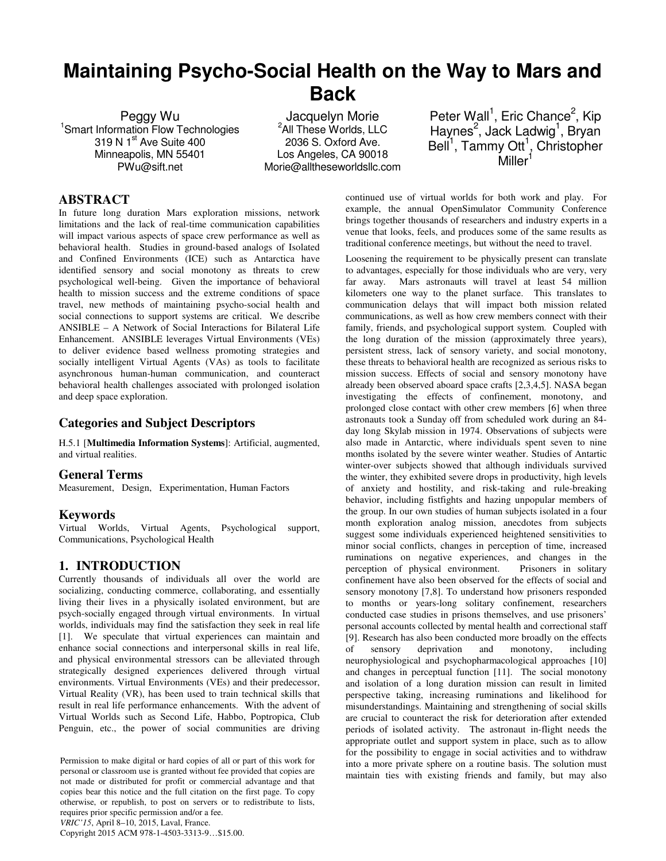# **Maintaining Psycho-Social Health on the Way to Mars and Back**

Peggy Wu 1 Smart Information Flow Technologies 319 N  $1<sup>st</sup>$  Ave Suite 400 Minneapolis, MN 55401 PWu@sift.net

Jacquelyn Morie <sup>2</sup>All These Worlds, LLC 2036 S. Oxford Ave. Los Angeles, CA 90018 Morie@alltheseworldsllc.com

Peter Wall<sup>1</sup>, Eric Chance<sup>2</sup>, Kip Haynes<sup>2</sup>, Jack Ladwig<sup>1</sup>, Bryan Bell<sup>1</sup>, Tammy Ott<sup>1</sup>, Christopher  $M$ iller<sup>1</sup>

## **ABSTRACT**

In future long duration Mars exploration missions, network limitations and the lack of real-time communication capabilities will impact various aspects of space crew performance as well as behavioral health. Studies in ground-based analogs of Isolated and Confined Environments (ICE) such as Antarctica have identified sensory and social monotony as threats to crew psychological well-being. Given the importance of behavioral health to mission success and the extreme conditions of space travel, new methods of maintaining psycho-social health and social connections to support systems are critical. We describe ANSIBLE – A Network of Social Interactions for Bilateral Life Enhancement. ANSIBLE leverages Virtual Environments (VEs) to deliver evidence based wellness promoting strategies and socially intelligent Virtual Agents (VAs) as tools to facilitate asynchronous human-human communication, and counteract behavioral health challenges associated with prolonged isolation and deep space exploration.

### **Categories and Subject Descriptors**

H.5.1 [**Multimedia Information Systems**]: Artificial, augmented, and virtual realities.

#### **General Terms**

Measurement, Design, Experimentation, Human Factors

#### **Keywords**

Virtual Worlds, Virtual Agents, Psychological support, Communications, Psychological Health

#### **1. INTRODUCTION**

Currently thousands of individuals all over the world are socializing, conducting commerce, collaborating, and essentially living their lives in a physically isolated environment, but are psych-socially engaged through virtual environments. In virtual worlds, individuals may find the satisfaction they seek in real life [1]. We speculate that virtual experiences can maintain and enhance social connections and interpersonal skills in real life, and physical environmental stressors can be alleviated through strategically designed experiences delivered through virtual environments. Virtual Environments (VEs) and their predecessor, Virtual Reality (VR), has been used to train technical skills that result in real life performance enhancements. With the advent of Virtual Worlds such as Second Life, Habbo, Poptropica, Club Penguin, etc., the power of social communities are driving

Permission to make digital or hard copies of all or part of this work for personal or classroom use is granted without fee provided that copies are not made or distributed for profit or commercial advantage and that copies bear this notice and the full citation on the first page. To copy otherwise, or republish, to post on servers or to redistribute to lists, requires prior specific permission and/or a fee. *VRIC'15*, April 8–10, 2015, Laval, France.

Copyright 2015 ACM 978-1-4503-3313-9…\$15.00.

continued use of virtual worlds for both work and play. For example, the annual OpenSimulator Community Conference brings together thousands of researchers and industry experts in a venue that looks, feels, and produces some of the same results as traditional conference meetings, but without the need to travel.

Loosening the requirement to be physically present can translate to advantages, especially for those individuals who are very, very far away. Mars astronauts will travel at least 54 million kilometers one way to the planet surface. This translates to communication delays that will impact both mission related communications, as well as how crew members connect with their family, friends, and psychological support system. Coupled with the long duration of the mission (approximately three years), persistent stress, lack of sensory variety, and social monotony, these threats to behavioral health are recognized as serious risks to mission success. Effects of social and sensory monotony have already been observed aboard space crafts [2,3,4,5]. NASA began investigating the effects of confinement, monotony, and prolonged close contact with other crew members [6] when three astronauts took a Sunday off from scheduled work during an 84 day long Skylab mission in 1974. Observations of subjects were also made in Antarctic, where individuals spent seven to nine months isolated by the severe winter weather. Studies of Antartic winter-over subjects showed that although individuals survived the winter, they exhibited severe drops in productivity, high levels of anxiety and hostility, and risk-taking and rule-breaking behavior, including fistfights and hazing unpopular members of the group. In our own studies of human subjects isolated in a four month exploration analog mission, anecdotes from subjects suggest some individuals experienced heightened sensitivities to minor social conflicts, changes in perception of time, increased ruminations on negative experiences, and changes in the perception of physical environment. Prisoners in solitary confinement have also been observed for the effects of social and sensory monotony [7,8]. To understand how prisoners responded to months or years-long solitary confinement, researchers conducted case studies in prisons themselves, and use prisoners' personal accounts collected by mental health and correctional staff [9]. Research has also been conducted more broadly on the effects of sensory deprivation and monotony, including neurophysiological and psychopharmacological approaches [10] and changes in perceptual function [11]. The social monotony and isolation of a long duration mission can result in limited perspective taking, increasing ruminations and likelihood for misunderstandings. Maintaining and strengthening of social skills are crucial to counteract the risk for deterioration after extended periods of isolated activity. The astronaut in-flight needs the appropriate outlet and support system in place, such as to allow for the possibility to engage in social activities and to withdraw into a more private sphere on a routine basis. The solution must maintain ties with existing friends and family, but may also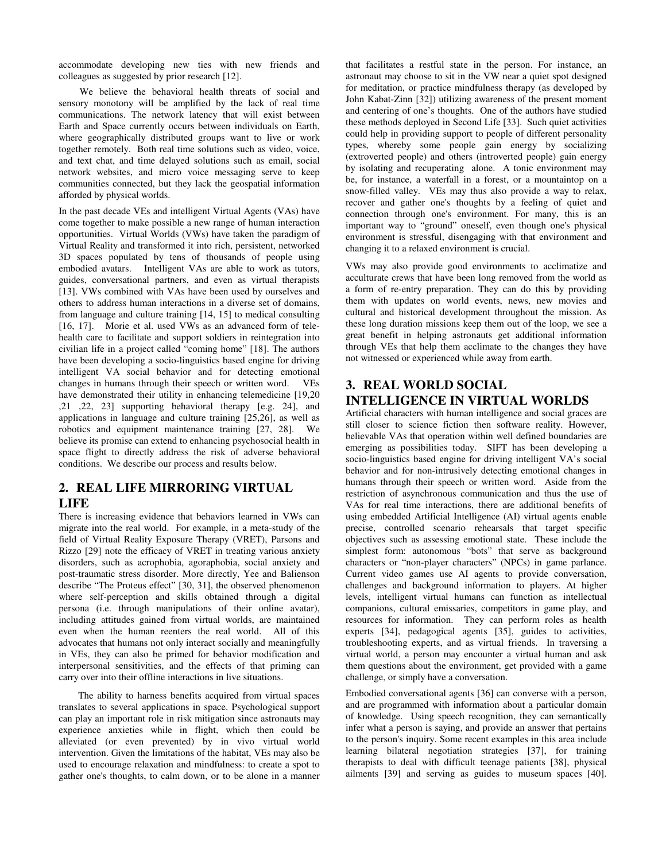accommodate developing new ties with new friends and colleagues as suggested by prior research [12].

We believe the behavioral health threats of social and sensory monotony will be amplified by the lack of real time communications. The network latency that will exist between Earth and Space currently occurs between individuals on Earth, where geographically distributed groups want to live or work together remotely. Both real time solutions such as video, voice, and text chat, and time delayed solutions such as email, social network websites, and micro voice messaging serve to keep communities connected, but they lack the geospatial information afforded by physical worlds.

In the past decade VEs and intelligent Virtual Agents (VAs) have come together to make possible a new range of human interaction opportunities. Virtual Worlds (VWs) have taken the paradigm of Virtual Reality and transformed it into rich, persistent, networked 3D spaces populated by tens of thousands of people using embodied avatars. Intelligent VAs are able to work as tutors, guides, conversational partners, and even as virtual therapists [13]. VWs combined with VAs have been used by ourselves and others to address human interactions in a diverse set of domains, from language and culture training [14, 15] to medical consulting [16, 17]. Morie et al. used VWs as an advanced form of telehealth care to facilitate and support soldiers in reintegration into civilian life in a project called "coming home" [18]. The authors have been developing a socio-linguistics based engine for driving intelligent VA social behavior and for detecting emotional changes in humans through their speech or written word. VEs have demonstrated their utility in enhancing telemedicine [19,20 ,21 ,22, 23] supporting behavioral therapy [e.g. 24], and applications in language and culture training [25,26], as well as robotics and equipment maintenance training [27, 28]. We believe its promise can extend to enhancing psychosocial health in space flight to directly address the risk of adverse behavioral conditions. We describe our process and results below.

# **2. REAL LIFE MIRRORING VIRTUAL LIFE**

There is increasing evidence that behaviors learned in VWs can migrate into the real world. For example, in a meta-study of the field of Virtual Reality Exposure Therapy (VRET), Parsons and Rizzo [29] note the efficacy of VRET in treating various anxiety disorders, such as acrophobia, agoraphobia, social anxiety and post-traumatic stress disorder. More directly, Yee and Balienson describe "The Proteus effect" [30, 31], the observed phenomenon where self-perception and skills obtained through a digital persona (i.e. through manipulations of their online avatar), including attitudes gained from virtual worlds, are maintained even when the human reenters the real world. All of this advocates that humans not only interact socially and meaningfully in VEs, they can also be primed for behavior modification and interpersonal sensitivities, and the effects of that priming can carry over into their offline interactions in live situations.

The ability to harness benefits acquired from virtual spaces translates to several applications in space. Psychological support can play an important role in risk mitigation since astronauts may experience anxieties while in flight, which then could be alleviated (or even prevented) by in vivo virtual world intervention. Given the limitations of the habitat, VEs may also be used to encourage relaxation and mindfulness: to create a spot to gather one's thoughts, to calm down, or to be alone in a manner that facilitates a restful state in the person. For instance, an astronaut may choose to sit in the VW near a quiet spot designed for meditation, or practice mindfulness therapy (as developed by John Kabat-Zinn [32]) utilizing awareness of the present moment and centering of one's thoughts. One of the authors have studied these methods deployed in Second Life [33]. Such quiet activities could help in providing support to people of different personality types, whereby some people gain energy by socializing (extroverted people) and others (introverted people) gain energy by isolating and recuperating alone. A tonic environment may be, for instance, a waterfall in a forest, or a mountaintop on a snow-filled valley. VEs may thus also provide a way to relax, recover and gather one's thoughts by a feeling of quiet and connection through one's environment. For many, this is an important way to "ground" oneself, even though one's physical environment is stressful, disengaging with that environment and changing it to a relaxed environment is crucial.

VWs may also provide good environments to acclimatize and acculturate crews that have been long removed from the world as a form of re-entry preparation. They can do this by providing them with updates on world events, news, new movies and cultural and historical development throughout the mission. As these long duration missions keep them out of the loop, we see a great benefit in helping astronauts get additional information through VEs that help them acclimate to the changes they have not witnessed or experienced while away from earth.

# **3. REAL WORLD SOCIAL INTELLIGENCE IN VIRTUAL WORLDS**

Artificial characters with human intelligence and social graces are still closer to science fiction then software reality. However, believable VAs that operation within well defined boundaries are emerging as possibilities today. SIFT has been developing a socio-linguistics based engine for driving intelligent VA's social behavior and for non-intrusively detecting emotional changes in humans through their speech or written word. Aside from the restriction of asynchronous communication and thus the use of VAs for real time interactions, there are additional benefits of using embedded Artificial Intelligence (AI) virtual agents enable precise, controlled scenario rehearsals that target specific objectives such as assessing emotional state. These include the simplest form: autonomous "bots" that serve as background characters or "non-player characters" (NPCs) in game parlance. Current video games use AI agents to provide conversation, challenges and background information to players. At higher levels, intelligent virtual humans can function as intellectual companions, cultural emissaries, competitors in game play, and resources for information. They can perform roles as health experts [34], pedagogical agents [35], guides to activities, troubleshooting experts, and as virtual friends. In traversing a virtual world, a person may encounter a virtual human and ask them questions about the environment, get provided with a game challenge, or simply have a conversation.

Embodied conversational agents [36] can converse with a person, and are programmed with information about a particular domain of knowledge. Using speech recognition, they can semantically infer what a person is saying, and provide an answer that pertains to the person's inquiry. Some recent examples in this area include learning bilateral negotiation strategies [37], for training therapists to deal with difficult teenage patients [38], physical ailments [39] and serving as guides to museum spaces [40].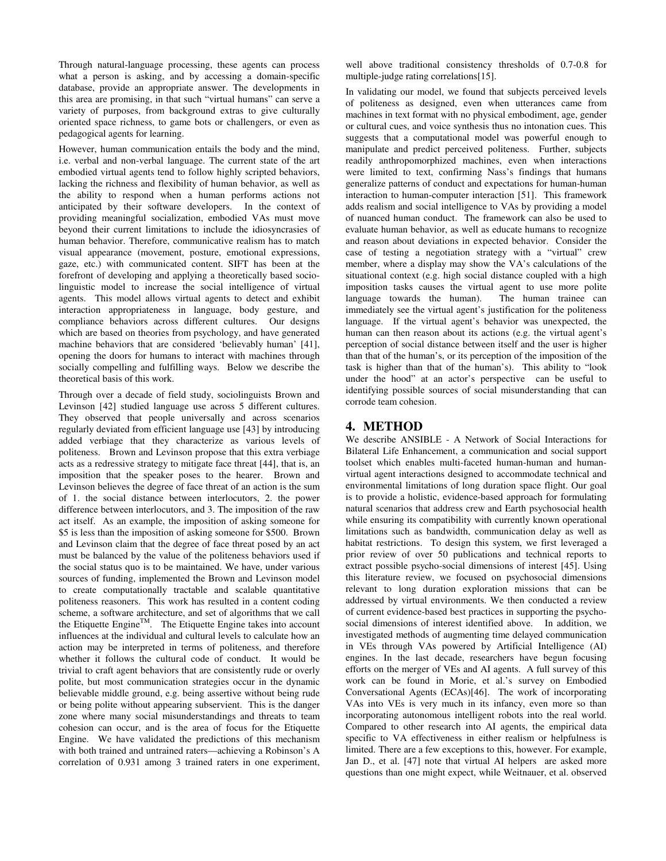Through natural-language processing, these agents can process what a person is asking, and by accessing a domain-specific database, provide an appropriate answer. The developments in this area are promising, in that such "virtual humans" can serve a variety of purposes, from background extras to give culturally oriented space richness, to game bots or challengers, or even as pedagogical agents for learning.

However, human communication entails the body and the mind, i.e. verbal and non-verbal language. The current state of the art embodied virtual agents tend to follow highly scripted behaviors, lacking the richness and flexibility of human behavior, as well as the ability to respond when a human performs actions not anticipated by their software developers. In the context of providing meaningful socialization, embodied VAs must move beyond their current limitations to include the idiosyncrasies of human behavior. Therefore, communicative realism has to match visual appearance (movement, posture, emotional expressions, gaze, etc.) with communicated content. SIFT has been at the forefront of developing and applying a theoretically based sociolinguistic model to increase the social intelligence of virtual agents. This model allows virtual agents to detect and exhibit interaction appropriateness in language, body gesture, and compliance behaviors across different cultures. Our designs which are based on theories from psychology, and have generated machine behaviors that are considered 'believably human' [41], opening the doors for humans to interact with machines through socially compelling and fulfilling ways. Below we describe the theoretical basis of this work.

Through over a decade of field study, sociolinguists Brown and Levinson [42] studied language use across 5 different cultures. They observed that people universally and across scenarios regularly deviated from efficient language use [43] by introducing added verbiage that they characterize as various levels of politeness. Brown and Levinson propose that this extra verbiage acts as a redressive strategy to mitigate face threat [44], that is, an imposition that the speaker poses to the hearer. Brown and Levinson believes the degree of face threat of an action is the sum of 1. the social distance between interlocutors, 2. the power difference between interlocutors, and 3. The imposition of the raw act itself. As an example, the imposition of asking someone for \$5 is less than the imposition of asking someone for \$500. Brown and Levinson claim that the degree of face threat posed by an act must be balanced by the value of the politeness behaviors used if the social status quo is to be maintained. We have, under various sources of funding, implemented the Brown and Levinson model to create computationally tractable and scalable quantitative politeness reasoners. This work has resulted in a content coding scheme, a software architecture, and set of algorithms that we call the Etiquette Engine<sup>TM</sup>. The Etiquette Engine takes into account influences at the individual and cultural levels to calculate how an action may be interpreted in terms of politeness, and therefore whether it follows the cultural code of conduct. It would be trivial to craft agent behaviors that are consistently rude or overly polite, but most communication strategies occur in the dynamic believable middle ground, e.g. being assertive without being rude or being polite without appearing subservient. This is the danger zone where many social misunderstandings and threats to team cohesion can occur, and is the area of focus for the Etiquette Engine. We have validated the predictions of this mechanism with both trained and untrained raters—achieving a Robinson's A correlation of 0.931 among 3 trained raters in one experiment,

well above traditional consistency thresholds of 0.7-0.8 for multiple-judge rating correlations[15].

In validating our model, we found that subjects perceived levels of politeness as designed, even when utterances came from machines in text format with no physical embodiment, age, gender or cultural cues, and voice synthesis thus no intonation cues. This suggests that a computational model was powerful enough to manipulate and predict perceived politeness. Further, subjects readily anthropomorphized machines, even when interactions were limited to text, confirming Nass's findings that humans generalize patterns of conduct and expectations for human-human interaction to human-computer interaction [51]. This framework adds realism and social intelligence to VAs by providing a model of nuanced human conduct. The framework can also be used to evaluate human behavior, as well as educate humans to recognize and reason about deviations in expected behavior. Consider the case of testing a negotiation strategy with a "virtual" crew member, where a display may show the VA's calculations of the situational context (e.g. high social distance coupled with a high imposition tasks causes the virtual agent to use more polite language towards the human). The human trainee can immediately see the virtual agent's justification for the politeness language. If the virtual agent's behavior was unexpected, the human can then reason about its actions (e.g. the virtual agent's perception of social distance between itself and the user is higher than that of the human's, or its perception of the imposition of the task is higher than that of the human's). This ability to "look under the hood" at an actor's perspective can be useful to identifying possible sources of social misunderstanding that can corrode team cohesion.

### **4. METHOD**

We describe ANSIBLE - A Network of Social Interactions for Bilateral Life Enhancement, a communication and social support toolset which enables multi-faceted human-human and humanvirtual agent interactions designed to accommodate technical and environmental limitations of long duration space flight. Our goal is to provide a holistic, evidence-based approach for formulating natural scenarios that address crew and Earth psychosocial health while ensuring its compatibility with currently known operational limitations such as bandwidth, communication delay as well as habitat restrictions. To design this system, we first leveraged a prior review of over 50 publications and technical reports to extract possible psycho-social dimensions of interest [45]. Using this literature review, we focused on psychosocial dimensions relevant to long duration exploration missions that can be addressed by virtual environments. We then conducted a review of current evidence-based best practices in supporting the psychosocial dimensions of interest identified above. In addition, we investigated methods of augmenting time delayed communication in VEs through VAs powered by Artificial Intelligence (AI) engines. In the last decade, researchers have begun focusing efforts on the merger of VEs and AI agents. A full survey of this work can be found in Morie, et al.'s survey on Embodied Conversational Agents (ECAs)[46]. The work of incorporating VAs into VEs is very much in its infancy, even more so than incorporating autonomous intelligent robots into the real world. Compared to other research into AI agents, the empirical data specific to VA effectiveness in either realism or helpfulness is limited. There are a few exceptions to this, however. For example, Jan D., et al. [47] note that virtual AI helpers are asked more questions than one might expect, while Weitnauer, et al. observed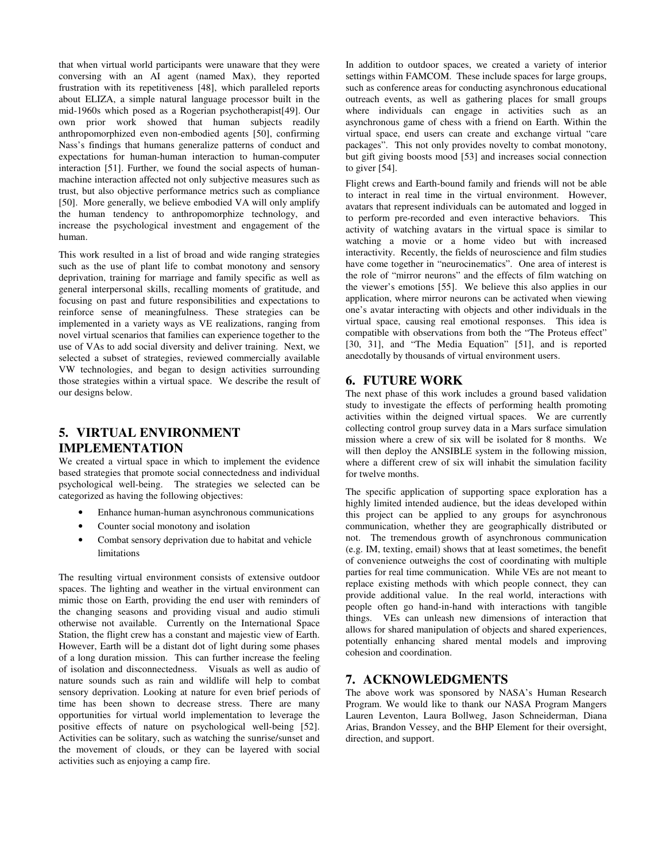that when virtual world participants were unaware that they were conversing with an AI agent (named Max), they reported frustration with its repetitiveness [48], which paralleled reports about ELIZA, a simple natural language processor built in the mid-1960s which posed as a Rogerian psychotherapist[49]. Our own prior work showed that human subjects readily anthropomorphized even non-embodied agents [50], confirming Nass's findings that humans generalize patterns of conduct and expectations for human-human interaction to human-computer interaction [51]. Further, we found the social aspects of humanmachine interaction affected not only subjective measures such as trust, but also objective performance metrics such as compliance [50]. More generally, we believe embodied VA will only amplify the human tendency to anthropomorphize technology, and increase the psychological investment and engagement of the human.

This work resulted in a list of broad and wide ranging strategies such as the use of plant life to combat monotony and sensory deprivation, training for marriage and family specific as well as general interpersonal skills, recalling moments of gratitude, and focusing on past and future responsibilities and expectations to reinforce sense of meaningfulness. These strategies can be implemented in a variety ways as VE realizations, ranging from novel virtual scenarios that families can experience together to the use of VAs to add social diversity and deliver training. Next, we selected a subset of strategies, reviewed commercially available VW technologies, and began to design activities surrounding those strategies within a virtual space. We describe the result of our designs below.

# **5. VIRTUAL ENVIRONMENT IMPLEMENTATION**

We created a virtual space in which to implement the evidence based strategies that promote social connectedness and individual psychological well-being. The strategies we selected can be categorized as having the following objectives:

- Enhance human-human asynchronous communications
- Counter social monotony and isolation
- Combat sensory deprivation due to habitat and vehicle **limitations**

The resulting virtual environment consists of extensive outdoor spaces. The lighting and weather in the virtual environment can mimic those on Earth, providing the end user with reminders of the changing seasons and providing visual and audio stimuli otherwise not available. Currently on the International Space Station, the flight crew has a constant and majestic view of Earth. However, Earth will be a distant dot of light during some phases of a long duration mission. This can further increase the feeling of isolation and disconnectedness. Visuals as well as audio of nature sounds such as rain and wildlife will help to combat sensory deprivation. Looking at nature for even brief periods of time has been shown to decrease stress. There are many opportunities for virtual world implementation to leverage the positive effects of nature on psychological well-being [52]. Activities can be solitary, such as watching the sunrise/sunset and the movement of clouds, or they can be layered with social activities such as enjoying a camp fire.

In addition to outdoor spaces, we created a variety of interior settings within FAMCOM. These include spaces for large groups, such as conference areas for conducting asynchronous educational outreach events, as well as gathering places for small groups where individuals can engage in activities such as an asynchronous game of chess with a friend on Earth. Within the virtual space, end users can create and exchange virtual "care packages". This not only provides novelty to combat monotony, but gift giving boosts mood [53] and increases social connection to giver [54].

Flight crews and Earth-bound family and friends will not be able to interact in real time in the virtual environment. However, avatars that represent individuals can be automated and logged in to perform pre-recorded and even interactive behaviors. This activity of watching avatars in the virtual space is similar to watching a movie or a home video but with increased interactivity. Recently, the fields of neuroscience and film studies have come together in "neurocinematics". One area of interest is the role of "mirror neurons" and the effects of film watching on the viewer's emotions [55]. We believe this also applies in our application, where mirror neurons can be activated when viewing one's avatar interacting with objects and other individuals in the virtual space, causing real emotional responses. This idea is compatible with observations from both the "The Proteus effect" [30, 31], and "The Media Equation" [51], and is reported anecdotally by thousands of virtual environment users.

### **6. FUTURE WORK**

The next phase of this work includes a ground based validation study to investigate the effects of performing health promoting activities within the deigned virtual spaces. We are currently collecting control group survey data in a Mars surface simulation mission where a crew of six will be isolated for 8 months. We will then deploy the ANSIBLE system in the following mission, where a different crew of six will inhabit the simulation facility for twelve months.

The specific application of supporting space exploration has a highly limited intended audience, but the ideas developed within this project can be applied to any groups for asynchronous communication, whether they are geographically distributed or not. The tremendous growth of asynchronous communication (e.g. IM, texting, email) shows that at least sometimes, the benefit of convenience outweighs the cost of coordinating with multiple parties for real time communication. While VEs are not meant to replace existing methods with which people connect, they can provide additional value. In the real world, interactions with people often go hand-in-hand with interactions with tangible things. VEs can unleash new dimensions of interaction that allows for shared manipulation of objects and shared experiences, potentially enhancing shared mental models and improving cohesion and coordination.

### **7. ACKNOWLEDGMENTS**

The above work was sponsored by NASA's Human Research Program. We would like to thank our NASA Program Mangers Lauren Leventon, Laura Bollweg, Jason Schneiderman, Diana Arias, Brandon Vessey, and the BHP Element for their oversight, direction, and support.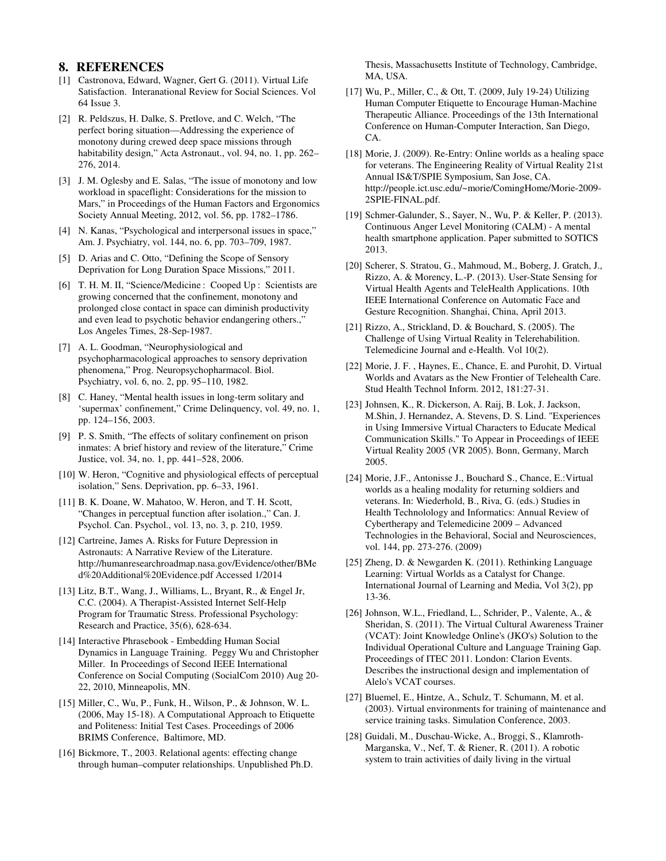### **8. REFERENCES**

- [1] Castronova, Edward, Wagner, Gert G. (2011). Virtual Life Satisfaction. Interanational Review for Social Sciences. Vol 64 Issue 3.
- [2] R. Peldszus, H. Dalke, S. Pretlove, and C. Welch, "The perfect boring situation—Addressing the experience of monotony during crewed deep space missions through habitability design," Acta Astronaut., vol. 94, no. 1, pp. 262– 276, 2014.
- [3] J. M. Oglesby and E. Salas, "The issue of monotony and low workload in spaceflight: Considerations for the mission to Mars," in Proceedings of the Human Factors and Ergonomics Society Annual Meeting, 2012, vol. 56, pp. 1782–1786.
- [4] N. Kanas, "Psychological and interpersonal issues in space," Am. J. Psychiatry, vol. 144, no. 6, pp. 703–709, 1987.
- [5] D. Arias and C. Otto, "Defining the Scope of Sensory Deprivation for Long Duration Space Missions," 2011.
- [6] T. H. M. II, "Science/Medicine : Cooped Up : Scientists are growing concerned that the confinement, monotony and prolonged close contact in space can diminish productivity and even lead to psychotic behavior endangering others.," Los Angeles Times, 28-Sep-1987.
- [7] A. L. Goodman, "Neurophysiological and psychopharmacological approaches to sensory deprivation phenomena," Prog. Neuropsychopharmacol. Biol. Psychiatry, vol. 6, no. 2, pp. 95–110, 1982.
- [8] C. Haney, "Mental health issues in long-term solitary and 'supermax' confinement," Crime Delinquency, vol. 49, no. 1, pp. 124–156, 2003.
- [9] P. S. Smith, "The effects of solitary confinement on prison inmates: A brief history and review of the literature," Crime Justice, vol. 34, no. 1, pp. 441–528, 2006.
- [10] W. Heron, "Cognitive and physiological effects of perceptual isolation," Sens. Deprivation, pp. 6–33, 1961.
- [11] B. K. Doane, W. Mahatoo, W. Heron, and T. H. Scott, "Changes in perceptual function after isolation.," Can. J. Psychol. Can. Psychol., vol. 13, no. 3, p. 210, 1959.
- [12] Cartreine, James A. Risks for Future Depression in Astronauts: A Narrative Review of the Literature. http://humanresearchroadmap.nasa.gov/Evidence/other/BMe d%20Additional%20Evidence.pdf Accessed 1/2014
- [13] Litz, B.T., Wang, J., Williams, L., Bryant, R., & Engel Jr, C.C. (2004). A Therapist-Assisted Internet Self-Help Program for Traumatic Stress. Professional Psychology: Research and Practice, 35(6), 628-634.
- [14] Interactive Phrasebook Embedding Human Social Dynamics in Language Training. Peggy Wu and Christopher Miller. In Proceedings of Second IEEE International Conference on Social Computing (SocialCom 2010) Aug 20- 22, 2010, Minneapolis, MN.
- [15] Miller, C., Wu, P., Funk, H., Wilson, P., & Johnson, W. L. (2006, May 15-18). A Computational Approach to Etiquette and Politeness: Initial Test Cases. Proceedings of 2006 BRIMS Conference, Baltimore, MD.
- [16] Bickmore, T., 2003. Relational agents: effecting change through human–computer relationships. Unpublished Ph.D.

Thesis, Massachusetts Institute of Technology, Cambridge, MA, USA.

- [17] Wu, P., Miller, C., & Ott, T. (2009, July 19-24) Utilizing Human Computer Etiquette to Encourage Human-Machine Therapeutic Alliance. Proceedings of the 13th International Conference on Human-Computer Interaction, San Diego, CA.
- [18] Morie, J. (2009). Re-Entry: Online worlds as a healing space for veterans. The Engineering Reality of Virtual Reality 21st Annual IS&T/SPIE Symposium, San Jose, CA. http://people.ict.usc.edu/~morie/ComingHome/Morie-2009- 2SPIE-FINAL.pdf.
- [19] Schmer-Galunder, S., Sayer, N., Wu, P. & Keller, P. (2013). Continuous Anger Level Monitoring (CALM) - A mental health smartphone application. Paper submitted to SOTICS 2013.
- [20] Scherer, S. Stratou, G., Mahmoud, M., Boberg, J. Gratch, J., Rizzo, A. & Morency, L.-P. (2013). User-State Sensing for Virtual Health Agents and TeleHealth Applications. 10th IEEE International Conference on Automatic Face and Gesture Recognition. Shanghai, China, April 2013.
- [21] Rizzo, A., Strickland, D. & Bouchard, S. (2005). The Challenge of Using Virtual Reality in Telerehabilition. Telemedicine Journal and e-Health. Vol 10(2).
- [22] Morie, J. F., Haynes, E., Chance, E. and Purohit, D. Virtual Worlds and Avatars as the New Frontier of Telehealth Care. Stud Health Technol Inform. 2012, 181:27-31.
- [23] Johnsen, K., R. Dickerson, A. Raij, B. Lok, J. Jackson, M.Shin, J. Hernandez, A. Stevens, D. S. Lind. "Experiences in Using Immersive Virtual Characters to Educate Medical Communication Skills." To Appear in Proceedings of IEEE Virtual Reality 2005 (VR 2005). Bonn, Germany, March 2005.
- [24] Morie, J.F., Antonisse J., Bouchard S., Chance, E.:Virtual worlds as a healing modality for returning soldiers and veterans. In: Wiederhold, B., Riva, G. (eds.) Studies in Health Technolology and Informatics: Annual Review of Cybertherapy and Telemedicine 2009 – Advanced Technologies in the Behavioral, Social and Neurosciences, vol. 144, pp. 273-276. (2009)
- [25] Zheng, D. & Newgarden K. (2011). Rethinking Language Learning: Virtual Worlds as a Catalyst for Change. International Journal of Learning and Media, Vol 3(2), pp 13-36.
- [26] Johnson, W.L., Friedland, L., Schrider, P., Valente, A., & Sheridan, S. (2011). The Virtual Cultural Awareness Trainer (VCAT): Joint Knowledge Online's (JKO's) Solution to the Individual Operational Culture and Language Training Gap. Proceedings of ITEC 2011. London: Clarion Events. Describes the instructional design and implementation of Alelo's VCAT courses.
- [27] Bluemel, E., Hintze, A., Schulz, T. Schumann, M. et al. (2003). Virtual environments for training of maintenance and service training tasks. Simulation Conference, 2003.
- [28] Guidali, M., Duschau-Wicke, A., Broggi, S., Klamroth-Marganska, V., Nef, T. & Riener, R. (2011). A robotic system to train activities of daily living in the virtual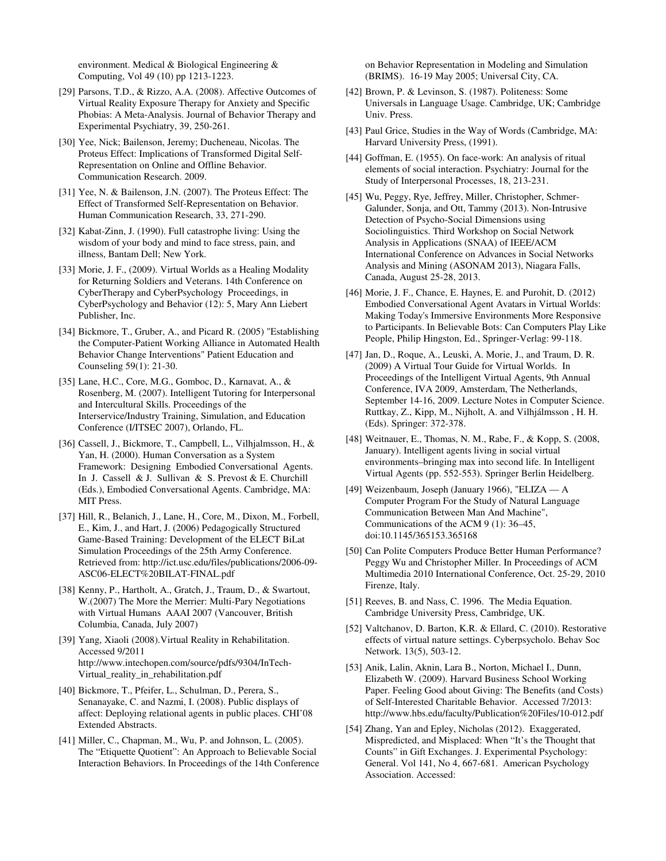environment. Medical & Biological Engineering & Computing, Vol 49 (10) pp 1213-1223.

- [29] Parsons, T.D., & Rizzo, A.A. (2008). Affective Outcomes of Virtual Reality Exposure Therapy for Anxiety and Specific Phobias: A Meta-Analysis. Journal of Behavior Therapy and Experimental Psychiatry, 39, 250-261.
- [30] Yee, Nick; Bailenson, Jeremy; Ducheneau, Nicolas. The Proteus Effect: Implications of Transformed Digital Self-Representation on Online and Offline Behavior. Communication Research. 2009.
- [31] Yee, N. & Bailenson, J.N. (2007). The Proteus Effect: The Effect of Transformed Self-Representation on Behavior. Human Communication Research, 33, 271-290.
- [32] Kabat-Zinn, J. (1990). Full catastrophe living: Using the wisdom of your body and mind to face stress, pain, and illness, Bantam Dell; New York.
- [33] Morie, J. F., (2009). Virtual Worlds as a Healing Modality for Returning Soldiers and Veterans. 14th Conference on CyberTherapy and CyberPsychology Proceedings, in CyberPsychology and Behavior (12): 5, Mary Ann Liebert Publisher, Inc.
- [34] Bickmore, T., Gruber, A., and Picard R. (2005) "Establishing the Computer-Patient Working Alliance in Automated Health Behavior Change Interventions" Patient Education and Counseling 59(1): 21-30.
- [35] Lane, H.C., Core, M.G., Gomboc, D., Karnavat, A., & Rosenberg, M. (2007). Intelligent Tutoring for Interpersonal and Intercultural Skills. Proceedings of the Interservice/Industry Training, Simulation, and Education Conference (I/ITSEC 2007), Orlando, FL.
- [36] Cassell, J., Bickmore, T., Campbell, L., Vilhjalmsson, H., & Yan, H. (2000). Human Conversation as a System Framework: Designing Embodied Conversational Agents. In J. Cassell & J. Sullivan & S. Prevost & E. Churchill (Eds.), Embodied Conversational Agents. Cambridge, MA: MIT Press.
- [37] Hill, R., Belanich, J., Lane, H., Core, M., Dixon, M., Forbell, E., Kim, J., and Hart, J. (2006) Pedagogically Structured Game-Based Training: Development of the ELECT BiLat Simulation Proceedings of the 25th Army Conference. Retrieved from: http://ict.usc.edu/files/publications/2006-09- ASC06-ELECT%20BILAT-FINAL.pdf
- [38] Kenny, P., Hartholt, A., Gratch, J., Traum, D., & Swartout, W.(2007) The More the Merrier: Multi-Pary Negotiations with Virtual Humans AAAI 2007 (Vancouver, British Columbia, Canada, July 2007)
- [39] Yang, Xiaoli (2008).Virtual Reality in Rehabilitation. Accessed 9/2011 http://www.intechopen.com/source/pdfs/9304/InTech-Virtual\_reality\_in\_rehabilitation.pdf
- [40] Bickmore, T., Pfeifer, L., Schulman, D., Perera, S., Senanayake, C. and Nazmi, I. (2008). Public displays of affect: Deploying relational agents in public places. CHI'08 Extended Abstracts.
- [41] Miller, C., Chapman, M., Wu, P. and Johnson, L. (2005). The "Etiquette Quotient": An Approach to Believable Social Interaction Behaviors. In Proceedings of the 14th Conference

on Behavior Representation in Modeling and Simulation (BRIMS). 16-19 May 2005; Universal City, CA.

- [42] Brown, P. & Levinson, S. (1987). Politeness: Some Universals in Language Usage. Cambridge, UK; Cambridge Univ. Press.
- [43] Paul Grice, Studies in the Way of Words (Cambridge, MA: Harvard University Press, (1991).
- [44] Goffman, E. (1955). On face-work: An analysis of ritual elements of social interaction. Psychiatry: Journal for the Study of Interpersonal Processes, 18, 213-231.
- [45] Wu, Peggy, Rye, Jeffrey, Miller, Christopher, Schmer-Galunder, Sonja, and Ott, Tammy (2013). Non-Intrusive Detection of Psycho-Social Dimensions using Sociolinguistics. Third Workshop on Social Network Analysis in Applications (SNAA) of IEEE/ACM International Conference on Advances in Social Networks Analysis and Mining (ASONAM 2013), Niagara Falls, Canada, August 25-28, 2013.
- [46] Morie, J. F., Chance, E. Haynes, E. and Purohit, D. (2012) Embodied Conversational Agent Avatars in Virtual Worlds: Making Today's Immersive Environments More Responsive to Participants. In Believable Bots: Can Computers Play Like People, Philip Hingston, Ed., Springer-Verlag: 99-118.
- [47] Jan, D., Roque, A., Leuski, A. Morie, J., and Traum, D. R. (2009) A Virtual Tour Guide for Virtual Worlds. In Proceedings of the Intelligent Virtual Agents, 9th Annual Conference, IVA 2009, Amsterdam, The Netherlands, September 14-16, 2009. Lecture Notes in Computer Science. Ruttkay, Z., Kipp, M., Nijholt, A. and Vilhjálmsson , H. H. (Eds). Springer: 372-378.
- [48] Weitnauer, E., Thomas, N. M., Rabe, F., & Kopp, S. (2008, January). Intelligent agents living in social virtual environments–bringing max into second life. In Intelligent Virtual Agents (pp. 552-553). Springer Berlin Heidelberg.
- [49] Weizenbaum, Joseph (January 1966), "ELIZA A Computer Program For the Study of Natural Language Communication Between Man And Machine", Communications of the ACM 9 (1): 36–45, doi:10.1145/365153.365168
- [50] Can Polite Computers Produce Better Human Performance? Peggy Wu and Christopher Miller. In Proceedings of ACM Multimedia 2010 International Conference, Oct. 25-29, 2010 Firenze, Italy.
- [51] Reeves, B. and Nass, C. 1996. The Media Equation. Cambridge University Press, Cambridge, UK.
- [52] Valtchanov, D. Barton, K.R. & Ellard, C. (2010). Restorative effects of virtual nature settings. Cyberpsycholo. Behav Soc Network. 13(5), 503-12.
- [53] Anik, Lalin, Aknin, Lara B., Norton, Michael I., Dunn, Elizabeth W. (2009). Harvard Business School Working Paper. Feeling Good about Giving: The Benefits (and Costs) of Self-Interested Charitable Behavior. Accessed 7/2013: http://www.hbs.edu/faculty/Publication%20Files/10-012.pdf
- [54] Zhang, Yan and Epley, Nicholas (2012). Exaggerated, Mispredicted, and Misplaced: When "It's the Thought that Counts" in Gift Exchanges. J. Experimental Psychology: General. Vol 141, No 4, 667-681. American Psychology Association. Accessed: